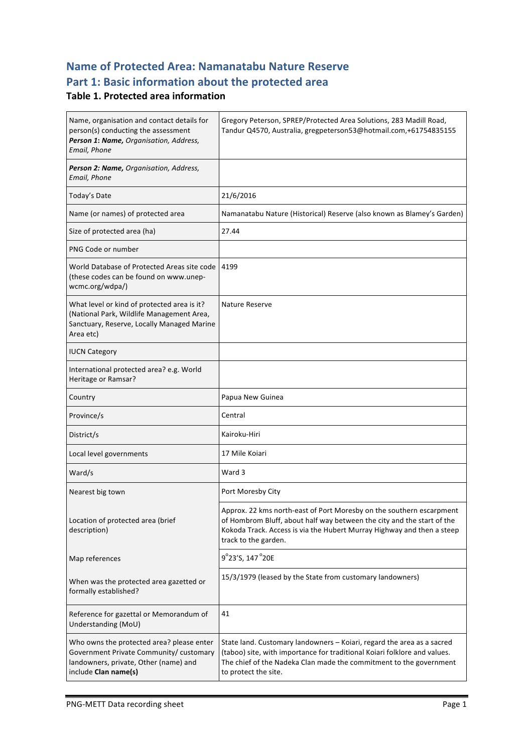# **Name of Protected Area: Namanatabu Nature Reserve** Part 1: Basic information about the protected area

### **Table 1. Protected area information**

| Name, organisation and contact details for<br>person(s) conducting the assessment<br>Person 1: Name, Organisation, Address,<br>Email, Phone           | Gregory Peterson, SPREP/Protected Area Solutions, 283 Madill Road,<br>Tandur Q4570, Australia, gregpeterson53@hotmail.com,+61754835155                                                                                                            |
|-------------------------------------------------------------------------------------------------------------------------------------------------------|---------------------------------------------------------------------------------------------------------------------------------------------------------------------------------------------------------------------------------------------------|
| Person 2: Name, Organisation, Address,<br>Email, Phone                                                                                                |                                                                                                                                                                                                                                                   |
| Today's Date                                                                                                                                          | 21/6/2016                                                                                                                                                                                                                                         |
| Name (or names) of protected area                                                                                                                     | Namanatabu Nature (Historical) Reserve (also known as Blamey's Garden)                                                                                                                                                                            |
| Size of protected area (ha)                                                                                                                           | 27.44                                                                                                                                                                                                                                             |
| PNG Code or number                                                                                                                                    |                                                                                                                                                                                                                                                   |
| World Database of Protected Areas site code<br>(these codes can be found on www.unep-<br>wcmc.org/wdpa/)                                              | 4199                                                                                                                                                                                                                                              |
| What level or kind of protected area is it?<br>(National Park, Wildlife Management Area,<br>Sanctuary, Reserve, Locally Managed Marine<br>Area etc)   | Nature Reserve                                                                                                                                                                                                                                    |
| <b>IUCN Category</b>                                                                                                                                  |                                                                                                                                                                                                                                                   |
| International protected area? e.g. World<br>Heritage or Ramsar?                                                                                       |                                                                                                                                                                                                                                                   |
| Country                                                                                                                                               | Papua New Guinea                                                                                                                                                                                                                                  |
| Province/s                                                                                                                                            | Central                                                                                                                                                                                                                                           |
| District/s                                                                                                                                            | Kairoku-Hiri                                                                                                                                                                                                                                      |
| Local level governments                                                                                                                               | 17 Mile Koiari                                                                                                                                                                                                                                    |
| Ward/s                                                                                                                                                | Ward 3                                                                                                                                                                                                                                            |
| Nearest big town                                                                                                                                      | Port Moresby City                                                                                                                                                                                                                                 |
| Location of protected area (brief<br>description)                                                                                                     | Approx. 22 kms north-east of Port Moresby on the southern escarpment<br>of Hombrom Bluff, about half way between the city and the start of the<br>Kokoda Track. Access is via the Hubert Murray Highway and then a steep<br>track to the garden.  |
| Map references                                                                                                                                        | 9°23'S, 147°20E                                                                                                                                                                                                                                   |
| When was the protected area gazetted or<br>formally established?                                                                                      | 15/3/1979 (leased by the State from customary landowners)                                                                                                                                                                                         |
| Reference for gazettal or Memorandum of<br>Understanding (MoU)                                                                                        | 41                                                                                                                                                                                                                                                |
| Who owns the protected area? please enter<br>Government Private Community/ customary<br>landowners, private, Other (name) and<br>include Clan name(s) | State land. Customary landowners - Koiari, regard the area as a sacred<br>(taboo) site, with importance for traditional Koiari folklore and values.<br>The chief of the Nadeka Clan made the commitment to the government<br>to protect the site. |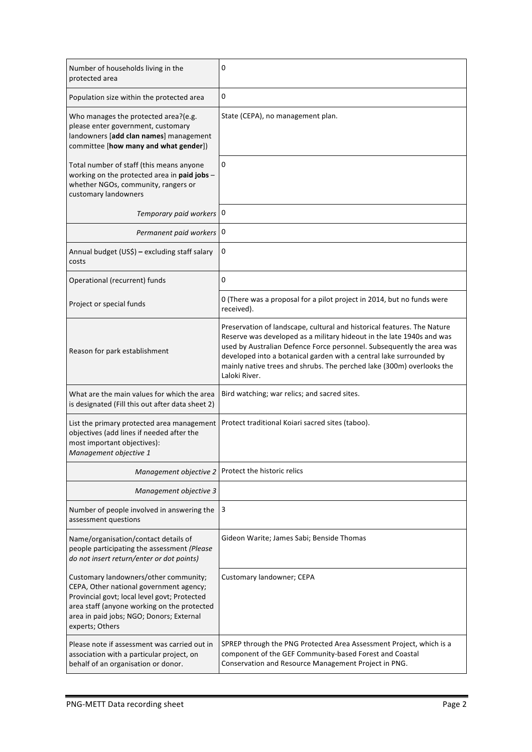| Number of households living in the<br>protected area                                                                                                                                                                                           | 0                                                                                                                                                                                                                                                                                                                                                                                          |
|------------------------------------------------------------------------------------------------------------------------------------------------------------------------------------------------------------------------------------------------|--------------------------------------------------------------------------------------------------------------------------------------------------------------------------------------------------------------------------------------------------------------------------------------------------------------------------------------------------------------------------------------------|
| Population size within the protected area                                                                                                                                                                                                      | 0                                                                                                                                                                                                                                                                                                                                                                                          |
| Who manages the protected area?(e.g.<br>please enter government, customary<br>landowners [add clan names] management<br>committee [how many and what gender])                                                                                  | State (CEPA), no management plan.                                                                                                                                                                                                                                                                                                                                                          |
| Total number of staff (this means anyone<br>working on the protected area in paid jobs -<br>whether NGOs, community, rangers or<br>customary landowners                                                                                        | 0                                                                                                                                                                                                                                                                                                                                                                                          |
| Temporary paid workers 0                                                                                                                                                                                                                       |                                                                                                                                                                                                                                                                                                                                                                                            |
| Permanent paid workers                                                                                                                                                                                                                         | 0                                                                                                                                                                                                                                                                                                                                                                                          |
| Annual budget (US\$) - excluding staff salary<br>costs                                                                                                                                                                                         | 0                                                                                                                                                                                                                                                                                                                                                                                          |
| Operational (recurrent) funds                                                                                                                                                                                                                  | 0                                                                                                                                                                                                                                                                                                                                                                                          |
| Project or special funds                                                                                                                                                                                                                       | 0 (There was a proposal for a pilot project in 2014, but no funds were<br>received).                                                                                                                                                                                                                                                                                                       |
| Reason for park establishment                                                                                                                                                                                                                  | Preservation of landscape, cultural and historical features. The Nature<br>Reserve was developed as a military hideout in the late 1940s and was<br>used by Australian Defence Force personnel. Subsequently the area was<br>developed into a botanical garden with a central lake surrounded by<br>mainly native trees and shrubs. The perched lake (300m) overlooks the<br>Laloki River. |
| What are the main values for which the area<br>is designated (Fill this out after data sheet 2)                                                                                                                                                | Bird watching; war relics; and sacred sites.                                                                                                                                                                                                                                                                                                                                               |
| List the primary protected area management<br>objectives (add lines if needed after the<br>most important objectives):<br>Management objective 1                                                                                               | Protect traditional Koiari sacred sites (taboo).                                                                                                                                                                                                                                                                                                                                           |
| Management objective 2                                                                                                                                                                                                                         | Protect the historic relics                                                                                                                                                                                                                                                                                                                                                                |
| Management objective 3                                                                                                                                                                                                                         |                                                                                                                                                                                                                                                                                                                                                                                            |
| Number of people involved in answering the<br>assessment questions                                                                                                                                                                             | 3                                                                                                                                                                                                                                                                                                                                                                                          |
| Name/organisation/contact details of<br>people participating the assessment (Please<br>do not insert return/enter or dot points)                                                                                                               | Gideon Warite; James Sabi; Benside Thomas                                                                                                                                                                                                                                                                                                                                                  |
| Customary landowners/other community;<br>CEPA, Other national government agency;<br>Provincial govt; local level govt; Protected<br>area staff (anyone working on the protected<br>area in paid jobs; NGO; Donors; External<br>experts; Others | Customary landowner; CEPA                                                                                                                                                                                                                                                                                                                                                                  |
| Please note if assessment was carried out in<br>association with a particular project, on<br>behalf of an organisation or donor.                                                                                                               | SPREP through the PNG Protected Area Assessment Project, which is a<br>component of the GEF Community-based Forest and Coastal<br>Conservation and Resource Management Project in PNG.                                                                                                                                                                                                     |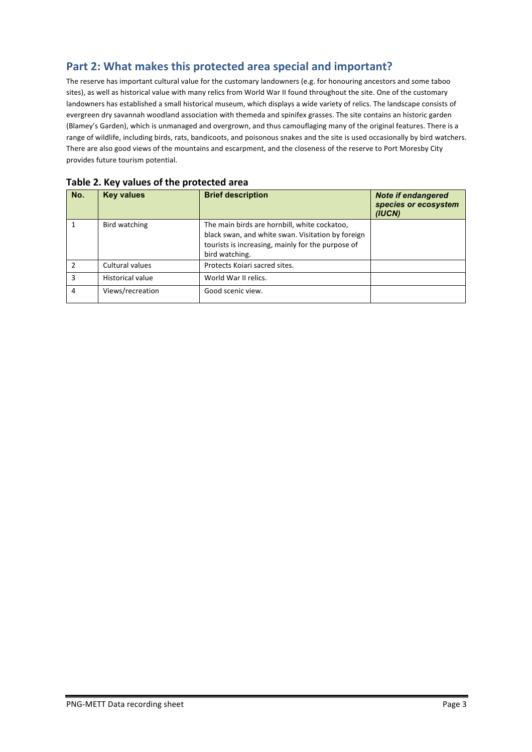### Part 2: What makes this protected area special and important?

The reserve has important cultural value for the customary landowners (e.g. for honouring ancestors and some taboo sites), as well as historical value with many relics from World War II found throughout the site. One of the customary landowners has established a small historical museum, which displays a wide variety of relics. The landscape consists of evergreen dry savannah woodland association with themeda and spinifex grasses. The site contains an historic garden (Blamey's Garden), which is unmanaged and overgrown, and thus camouflaging many of the original features. There is a range of wildlife, including birds, rats, bandicoots, and poisonous snakes and the site is used occasionally by bird watchers. There are also good views of the mountains and escarpment, and the closeness of the reserve to Port Moresby City provides future tourism potential.

| No.           | <b>Key values</b> | <b>Brief description</b>                                                                                                                                                 | <b>Note if endangered</b><br>species or ecosystem<br>(IUCN) |
|---------------|-------------------|--------------------------------------------------------------------------------------------------------------------------------------------------------------------------|-------------------------------------------------------------|
|               | Bird watching     | The main birds are hornbill, white cockatoo,<br>black swan, and white swan. Visitation by foreign<br>tourists is increasing, mainly for the purpose of<br>bird watching. |                                                             |
| $\mathcal{P}$ | Cultural values   | Protects Koiari sacred sites.                                                                                                                                            |                                                             |
| 3             | Historical value  | World War II relics.                                                                                                                                                     |                                                             |
| 4             | Views/recreation  | Good scenic view.                                                                                                                                                        |                                                             |

Table 2. Key values of the protected area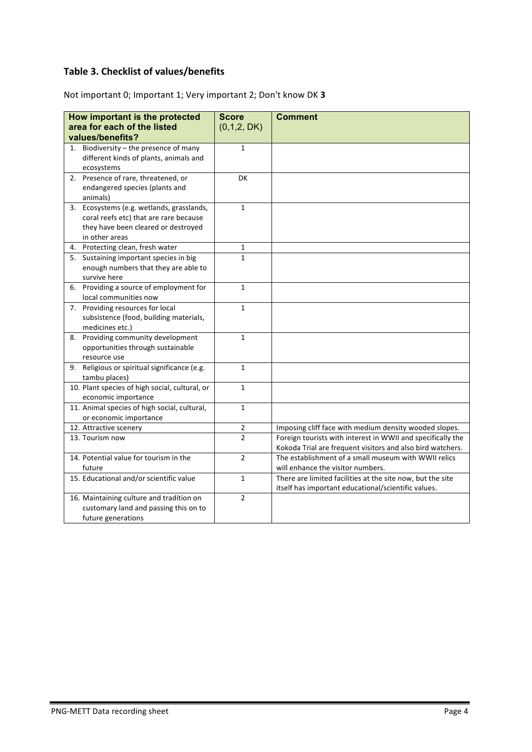#### **Table 3. Checklist of values/benefits**

Not important 0; Important 1; Very important 2; Don't know DK 3

| How important is the protected<br>area for each of the listed<br>values/benefits?                                                            | <b>Score</b><br>(0,1,2, DK) | <b>Comment</b>                                                                                                            |
|----------------------------------------------------------------------------------------------------------------------------------------------|-----------------------------|---------------------------------------------------------------------------------------------------------------------------|
| 1. Biodiversity - the presence of many<br>different kinds of plants, animals and<br>ecosystems                                               | $\mathbf{1}$                |                                                                                                                           |
| 2. Presence of rare, threatened, or<br>endangered species (plants and<br>animals)                                                            | DK                          |                                                                                                                           |
| 3. Ecosystems (e.g. wetlands, grasslands,<br>coral reefs etc) that are rare because<br>they have been cleared or destroyed<br>in other areas | 1                           |                                                                                                                           |
| 4. Protecting clean, fresh water                                                                                                             | $\mathbf{1}$                |                                                                                                                           |
| 5. Sustaining important species in big<br>enough numbers that they are able to<br>survive here                                               | $\mathbf{1}$                |                                                                                                                           |
| 6. Providing a source of employment for<br>local communities now                                                                             | $\mathbf{1}$                |                                                                                                                           |
| 7. Providing resources for local<br>subsistence (food, building materials,<br>medicines etc.)                                                | $\mathbf{1}$                |                                                                                                                           |
| 8. Providing community development<br>opportunities through sustainable<br>resource use                                                      | $\mathbf{1}$                |                                                                                                                           |
| 9. Religious or spiritual significance (e.g.<br>tambu places)                                                                                | $\mathbf{1}$                |                                                                                                                           |
| 10. Plant species of high social, cultural, or<br>economic importance                                                                        | $\mathbf{1}$                |                                                                                                                           |
| 11. Animal species of high social, cultural,<br>or economic importance                                                                       | $\mathbf{1}$                |                                                                                                                           |
| 12. Attractive scenery                                                                                                                       | $\overline{2}$              | Imposing cliff face with medium density wooded slopes.                                                                    |
| 13. Tourism now                                                                                                                              | 2                           | Foreign tourists with interest in WWII and specifically the<br>Kokoda Trial are frequent visitors and also bird watchers. |
| 14. Potential value for tourism in the<br>future                                                                                             | $\overline{2}$              | The establishment of a small museum with WWII relics<br>will enhance the visitor numbers.                                 |
| 15. Educational and/or scientific value                                                                                                      | $\mathbf{1}$                | There are limited facilities at the site now, but the site<br>itself has important educational/scientific values.         |
| 16. Maintaining culture and tradition on<br>customary land and passing this on to<br>future generations                                      | $\overline{2}$              |                                                                                                                           |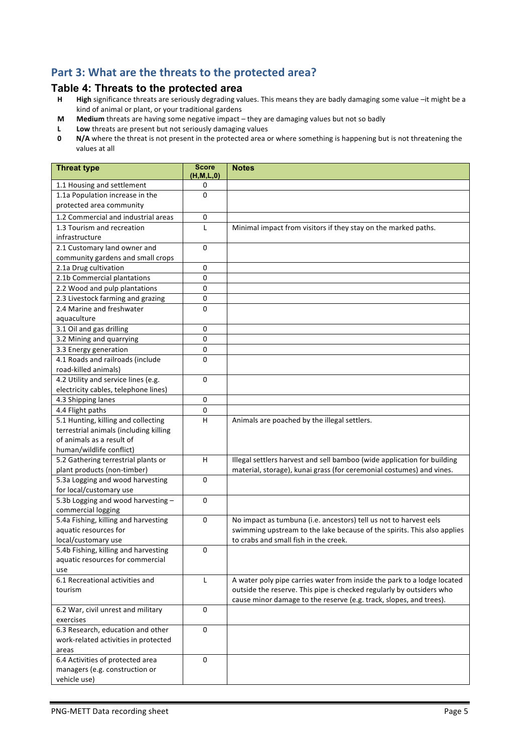### Part 3: What are the threats to the protected area?

# **Table 4: Threats to the protected area**<br>**H** High significance threats are seriously degrading va

- High significance threats are seriously degrading values. This means they are badly damaging some value -it might be a kind of animal or plant, or your traditional gardens
- **M** Medium threats are having some negative impact they are damaging values but not so badly
- **L** Low threats are present but not seriously damaging values<br>**0** N/A where the threat is not present in the protected area of
- **N/A** where the threat is not present in the protected area or where something is happening but is not threatening the values at all

| 1.1 Housing and settlement<br>0<br>1.1a Population increase in the<br>$\Omega$<br>protected area community<br>1.2 Commercial and industrial areas<br>0<br>1.3 Tourism and recreation<br>L<br>Minimal impact from visitors if they stay on the marked paths.<br>infrastructure<br>2.1 Customary land owner and<br>$\Omega$<br>community gardens and small crops<br>2.1a Drug cultivation<br>0<br>2.1b Commercial plantations<br>0<br>2.2 Wood and pulp plantations<br>0<br>2.3 Livestock farming and grazing<br>0<br>2.4 Marine and freshwater<br>0<br>aquaculture<br>3.1 Oil and gas drilling<br>0<br>0<br>3.2 Mining and quarrying<br>0<br>3.3 Energy generation<br>4.1 Roads and railroads (include<br>$\Omega$<br>road-killed animals)<br>4.2 Utility and service lines (e.g.<br>0<br>electricity cables, telephone lines)<br>4.3 Shipping lanes<br>0<br>0<br>4.4 Flight paths<br>5.1 Hunting, killing and collecting<br>H<br>Animals are poached by the illegal settlers.<br>terrestrial animals (including killing<br>of animals as a result of<br>human/wildlife conflict)<br>Illegal settlers harvest and sell bamboo (wide application for building<br>5.2 Gathering terrestrial plants or<br>H<br>plant products (non-timber)<br>material, storage), kunai grass (for ceremonial costumes) and vines.<br>5.3a Logging and wood harvesting<br>$\mathbf 0$<br>for local/customary use<br>5.3b Logging and wood harvesting -<br>$\Omega$<br>commercial logging<br>5.4a Fishing, killing and harvesting<br>No impact as tumbuna (i.e. ancestors) tell us not to harvest eels<br>0<br>aquatic resources for<br>swimming upstream to the lake because of the spirits. This also applies<br>to crabs and small fish in the creek.<br>local/customary use<br>5.4b Fishing, killing and harvesting<br>0<br>aquatic resources for commercial<br>use<br>A water poly pipe carries water from inside the park to a lodge located<br>6.1 Recreational activities and<br>L<br>outside the reserve. This pipe is checked regularly by outsiders who<br>tourism<br>cause minor damage to the reserve (e.g. track, slopes, and trees).<br>0<br>6.2 War, civil unrest and military<br>exercises<br>6.3 Research, education and other<br>0<br>work-related activities in protected<br>areas<br>6.4 Activities of protected area<br>0<br>managers (e.g. construction or<br>vehicle use) | <b>Threat type</b> | <b>Score</b><br>(H, M, L, 0) | <b>Notes</b> |
|------------------------------------------------------------------------------------------------------------------------------------------------------------------------------------------------------------------------------------------------------------------------------------------------------------------------------------------------------------------------------------------------------------------------------------------------------------------------------------------------------------------------------------------------------------------------------------------------------------------------------------------------------------------------------------------------------------------------------------------------------------------------------------------------------------------------------------------------------------------------------------------------------------------------------------------------------------------------------------------------------------------------------------------------------------------------------------------------------------------------------------------------------------------------------------------------------------------------------------------------------------------------------------------------------------------------------------------------------------------------------------------------------------------------------------------------------------------------------------------------------------------------------------------------------------------------------------------------------------------------------------------------------------------------------------------------------------------------------------------------------------------------------------------------------------------------------------------------------------------------------------------------------------------------------------------------------------------------------------------------------------------------------------------------------------------------------------------------------------------------------------------------------------------------------------------------------------------------------------------------------------------------------------------------------------------------------------------------------------------------------|--------------------|------------------------------|--------------|
|                                                                                                                                                                                                                                                                                                                                                                                                                                                                                                                                                                                                                                                                                                                                                                                                                                                                                                                                                                                                                                                                                                                                                                                                                                                                                                                                                                                                                                                                                                                                                                                                                                                                                                                                                                                                                                                                                                                                                                                                                                                                                                                                                                                                                                                                                                                                                                              |                    |                              |              |
|                                                                                                                                                                                                                                                                                                                                                                                                                                                                                                                                                                                                                                                                                                                                                                                                                                                                                                                                                                                                                                                                                                                                                                                                                                                                                                                                                                                                                                                                                                                                                                                                                                                                                                                                                                                                                                                                                                                                                                                                                                                                                                                                                                                                                                                                                                                                                                              |                    |                              |              |
|                                                                                                                                                                                                                                                                                                                                                                                                                                                                                                                                                                                                                                                                                                                                                                                                                                                                                                                                                                                                                                                                                                                                                                                                                                                                                                                                                                                                                                                                                                                                                                                                                                                                                                                                                                                                                                                                                                                                                                                                                                                                                                                                                                                                                                                                                                                                                                              |                    |                              |              |
|                                                                                                                                                                                                                                                                                                                                                                                                                                                                                                                                                                                                                                                                                                                                                                                                                                                                                                                                                                                                                                                                                                                                                                                                                                                                                                                                                                                                                                                                                                                                                                                                                                                                                                                                                                                                                                                                                                                                                                                                                                                                                                                                                                                                                                                                                                                                                                              |                    |                              |              |
|                                                                                                                                                                                                                                                                                                                                                                                                                                                                                                                                                                                                                                                                                                                                                                                                                                                                                                                                                                                                                                                                                                                                                                                                                                                                                                                                                                                                                                                                                                                                                                                                                                                                                                                                                                                                                                                                                                                                                                                                                                                                                                                                                                                                                                                                                                                                                                              |                    |                              |              |
|                                                                                                                                                                                                                                                                                                                                                                                                                                                                                                                                                                                                                                                                                                                                                                                                                                                                                                                                                                                                                                                                                                                                                                                                                                                                                                                                                                                                                                                                                                                                                                                                                                                                                                                                                                                                                                                                                                                                                                                                                                                                                                                                                                                                                                                                                                                                                                              |                    |                              |              |
|                                                                                                                                                                                                                                                                                                                                                                                                                                                                                                                                                                                                                                                                                                                                                                                                                                                                                                                                                                                                                                                                                                                                                                                                                                                                                                                                                                                                                                                                                                                                                                                                                                                                                                                                                                                                                                                                                                                                                                                                                                                                                                                                                                                                                                                                                                                                                                              |                    |                              |              |
|                                                                                                                                                                                                                                                                                                                                                                                                                                                                                                                                                                                                                                                                                                                                                                                                                                                                                                                                                                                                                                                                                                                                                                                                                                                                                                                                                                                                                                                                                                                                                                                                                                                                                                                                                                                                                                                                                                                                                                                                                                                                                                                                                                                                                                                                                                                                                                              |                    |                              |              |
|                                                                                                                                                                                                                                                                                                                                                                                                                                                                                                                                                                                                                                                                                                                                                                                                                                                                                                                                                                                                                                                                                                                                                                                                                                                                                                                                                                                                                                                                                                                                                                                                                                                                                                                                                                                                                                                                                                                                                                                                                                                                                                                                                                                                                                                                                                                                                                              |                    |                              |              |
|                                                                                                                                                                                                                                                                                                                                                                                                                                                                                                                                                                                                                                                                                                                                                                                                                                                                                                                                                                                                                                                                                                                                                                                                                                                                                                                                                                                                                                                                                                                                                                                                                                                                                                                                                                                                                                                                                                                                                                                                                                                                                                                                                                                                                                                                                                                                                                              |                    |                              |              |
|                                                                                                                                                                                                                                                                                                                                                                                                                                                                                                                                                                                                                                                                                                                                                                                                                                                                                                                                                                                                                                                                                                                                                                                                                                                                                                                                                                                                                                                                                                                                                                                                                                                                                                                                                                                                                                                                                                                                                                                                                                                                                                                                                                                                                                                                                                                                                                              |                    |                              |              |
|                                                                                                                                                                                                                                                                                                                                                                                                                                                                                                                                                                                                                                                                                                                                                                                                                                                                                                                                                                                                                                                                                                                                                                                                                                                                                                                                                                                                                                                                                                                                                                                                                                                                                                                                                                                                                                                                                                                                                                                                                                                                                                                                                                                                                                                                                                                                                                              |                    |                              |              |
|                                                                                                                                                                                                                                                                                                                                                                                                                                                                                                                                                                                                                                                                                                                                                                                                                                                                                                                                                                                                                                                                                                                                                                                                                                                                                                                                                                                                                                                                                                                                                                                                                                                                                                                                                                                                                                                                                                                                                                                                                                                                                                                                                                                                                                                                                                                                                                              |                    |                              |              |
|                                                                                                                                                                                                                                                                                                                                                                                                                                                                                                                                                                                                                                                                                                                                                                                                                                                                                                                                                                                                                                                                                                                                                                                                                                                                                                                                                                                                                                                                                                                                                                                                                                                                                                                                                                                                                                                                                                                                                                                                                                                                                                                                                                                                                                                                                                                                                                              |                    |                              |              |
|                                                                                                                                                                                                                                                                                                                                                                                                                                                                                                                                                                                                                                                                                                                                                                                                                                                                                                                                                                                                                                                                                                                                                                                                                                                                                                                                                                                                                                                                                                                                                                                                                                                                                                                                                                                                                                                                                                                                                                                                                                                                                                                                                                                                                                                                                                                                                                              |                    |                              |              |
|                                                                                                                                                                                                                                                                                                                                                                                                                                                                                                                                                                                                                                                                                                                                                                                                                                                                                                                                                                                                                                                                                                                                                                                                                                                                                                                                                                                                                                                                                                                                                                                                                                                                                                                                                                                                                                                                                                                                                                                                                                                                                                                                                                                                                                                                                                                                                                              |                    |                              |              |
|                                                                                                                                                                                                                                                                                                                                                                                                                                                                                                                                                                                                                                                                                                                                                                                                                                                                                                                                                                                                                                                                                                                                                                                                                                                                                                                                                                                                                                                                                                                                                                                                                                                                                                                                                                                                                                                                                                                                                                                                                                                                                                                                                                                                                                                                                                                                                                              |                    |                              |              |
|                                                                                                                                                                                                                                                                                                                                                                                                                                                                                                                                                                                                                                                                                                                                                                                                                                                                                                                                                                                                                                                                                                                                                                                                                                                                                                                                                                                                                                                                                                                                                                                                                                                                                                                                                                                                                                                                                                                                                                                                                                                                                                                                                                                                                                                                                                                                                                              |                    |                              |              |
|                                                                                                                                                                                                                                                                                                                                                                                                                                                                                                                                                                                                                                                                                                                                                                                                                                                                                                                                                                                                                                                                                                                                                                                                                                                                                                                                                                                                                                                                                                                                                                                                                                                                                                                                                                                                                                                                                                                                                                                                                                                                                                                                                                                                                                                                                                                                                                              |                    |                              |              |
|                                                                                                                                                                                                                                                                                                                                                                                                                                                                                                                                                                                                                                                                                                                                                                                                                                                                                                                                                                                                                                                                                                                                                                                                                                                                                                                                                                                                                                                                                                                                                                                                                                                                                                                                                                                                                                                                                                                                                                                                                                                                                                                                                                                                                                                                                                                                                                              |                    |                              |              |
|                                                                                                                                                                                                                                                                                                                                                                                                                                                                                                                                                                                                                                                                                                                                                                                                                                                                                                                                                                                                                                                                                                                                                                                                                                                                                                                                                                                                                                                                                                                                                                                                                                                                                                                                                                                                                                                                                                                                                                                                                                                                                                                                                                                                                                                                                                                                                                              |                    |                              |              |
|                                                                                                                                                                                                                                                                                                                                                                                                                                                                                                                                                                                                                                                                                                                                                                                                                                                                                                                                                                                                                                                                                                                                                                                                                                                                                                                                                                                                                                                                                                                                                                                                                                                                                                                                                                                                                                                                                                                                                                                                                                                                                                                                                                                                                                                                                                                                                                              |                    |                              |              |
|                                                                                                                                                                                                                                                                                                                                                                                                                                                                                                                                                                                                                                                                                                                                                                                                                                                                                                                                                                                                                                                                                                                                                                                                                                                                                                                                                                                                                                                                                                                                                                                                                                                                                                                                                                                                                                                                                                                                                                                                                                                                                                                                                                                                                                                                                                                                                                              |                    |                              |              |
|                                                                                                                                                                                                                                                                                                                                                                                                                                                                                                                                                                                                                                                                                                                                                                                                                                                                                                                                                                                                                                                                                                                                                                                                                                                                                                                                                                                                                                                                                                                                                                                                                                                                                                                                                                                                                                                                                                                                                                                                                                                                                                                                                                                                                                                                                                                                                                              |                    |                              |              |
|                                                                                                                                                                                                                                                                                                                                                                                                                                                                                                                                                                                                                                                                                                                                                                                                                                                                                                                                                                                                                                                                                                                                                                                                                                                                                                                                                                                                                                                                                                                                                                                                                                                                                                                                                                                                                                                                                                                                                                                                                                                                                                                                                                                                                                                                                                                                                                              |                    |                              |              |
|                                                                                                                                                                                                                                                                                                                                                                                                                                                                                                                                                                                                                                                                                                                                                                                                                                                                                                                                                                                                                                                                                                                                                                                                                                                                                                                                                                                                                                                                                                                                                                                                                                                                                                                                                                                                                                                                                                                                                                                                                                                                                                                                                                                                                                                                                                                                                                              |                    |                              |              |
|                                                                                                                                                                                                                                                                                                                                                                                                                                                                                                                                                                                                                                                                                                                                                                                                                                                                                                                                                                                                                                                                                                                                                                                                                                                                                                                                                                                                                                                                                                                                                                                                                                                                                                                                                                                                                                                                                                                                                                                                                                                                                                                                                                                                                                                                                                                                                                              |                    |                              |              |
|                                                                                                                                                                                                                                                                                                                                                                                                                                                                                                                                                                                                                                                                                                                                                                                                                                                                                                                                                                                                                                                                                                                                                                                                                                                                                                                                                                                                                                                                                                                                                                                                                                                                                                                                                                                                                                                                                                                                                                                                                                                                                                                                                                                                                                                                                                                                                                              |                    |                              |              |
|                                                                                                                                                                                                                                                                                                                                                                                                                                                                                                                                                                                                                                                                                                                                                                                                                                                                                                                                                                                                                                                                                                                                                                                                                                                                                                                                                                                                                                                                                                                                                                                                                                                                                                                                                                                                                                                                                                                                                                                                                                                                                                                                                                                                                                                                                                                                                                              |                    |                              |              |
|                                                                                                                                                                                                                                                                                                                                                                                                                                                                                                                                                                                                                                                                                                                                                                                                                                                                                                                                                                                                                                                                                                                                                                                                                                                                                                                                                                                                                                                                                                                                                                                                                                                                                                                                                                                                                                                                                                                                                                                                                                                                                                                                                                                                                                                                                                                                                                              |                    |                              |              |
|                                                                                                                                                                                                                                                                                                                                                                                                                                                                                                                                                                                                                                                                                                                                                                                                                                                                                                                                                                                                                                                                                                                                                                                                                                                                                                                                                                                                                                                                                                                                                                                                                                                                                                                                                                                                                                                                                                                                                                                                                                                                                                                                                                                                                                                                                                                                                                              |                    |                              |              |
|                                                                                                                                                                                                                                                                                                                                                                                                                                                                                                                                                                                                                                                                                                                                                                                                                                                                                                                                                                                                                                                                                                                                                                                                                                                                                                                                                                                                                                                                                                                                                                                                                                                                                                                                                                                                                                                                                                                                                                                                                                                                                                                                                                                                                                                                                                                                                                              |                    |                              |              |
|                                                                                                                                                                                                                                                                                                                                                                                                                                                                                                                                                                                                                                                                                                                                                                                                                                                                                                                                                                                                                                                                                                                                                                                                                                                                                                                                                                                                                                                                                                                                                                                                                                                                                                                                                                                                                                                                                                                                                                                                                                                                                                                                                                                                                                                                                                                                                                              |                    |                              |              |
|                                                                                                                                                                                                                                                                                                                                                                                                                                                                                                                                                                                                                                                                                                                                                                                                                                                                                                                                                                                                                                                                                                                                                                                                                                                                                                                                                                                                                                                                                                                                                                                                                                                                                                                                                                                                                                                                                                                                                                                                                                                                                                                                                                                                                                                                                                                                                                              |                    |                              |              |
|                                                                                                                                                                                                                                                                                                                                                                                                                                                                                                                                                                                                                                                                                                                                                                                                                                                                                                                                                                                                                                                                                                                                                                                                                                                                                                                                                                                                                                                                                                                                                                                                                                                                                                                                                                                                                                                                                                                                                                                                                                                                                                                                                                                                                                                                                                                                                                              |                    |                              |              |
|                                                                                                                                                                                                                                                                                                                                                                                                                                                                                                                                                                                                                                                                                                                                                                                                                                                                                                                                                                                                                                                                                                                                                                                                                                                                                                                                                                                                                                                                                                                                                                                                                                                                                                                                                                                                                                                                                                                                                                                                                                                                                                                                                                                                                                                                                                                                                                              |                    |                              |              |
|                                                                                                                                                                                                                                                                                                                                                                                                                                                                                                                                                                                                                                                                                                                                                                                                                                                                                                                                                                                                                                                                                                                                                                                                                                                                                                                                                                                                                                                                                                                                                                                                                                                                                                                                                                                                                                                                                                                                                                                                                                                                                                                                                                                                                                                                                                                                                                              |                    |                              |              |
|                                                                                                                                                                                                                                                                                                                                                                                                                                                                                                                                                                                                                                                                                                                                                                                                                                                                                                                                                                                                                                                                                                                                                                                                                                                                                                                                                                                                                                                                                                                                                                                                                                                                                                                                                                                                                                                                                                                                                                                                                                                                                                                                                                                                                                                                                                                                                                              |                    |                              |              |
|                                                                                                                                                                                                                                                                                                                                                                                                                                                                                                                                                                                                                                                                                                                                                                                                                                                                                                                                                                                                                                                                                                                                                                                                                                                                                                                                                                                                                                                                                                                                                                                                                                                                                                                                                                                                                                                                                                                                                                                                                                                                                                                                                                                                                                                                                                                                                                              |                    |                              |              |
|                                                                                                                                                                                                                                                                                                                                                                                                                                                                                                                                                                                                                                                                                                                                                                                                                                                                                                                                                                                                                                                                                                                                                                                                                                                                                                                                                                                                                                                                                                                                                                                                                                                                                                                                                                                                                                                                                                                                                                                                                                                                                                                                                                                                                                                                                                                                                                              |                    |                              |              |
|                                                                                                                                                                                                                                                                                                                                                                                                                                                                                                                                                                                                                                                                                                                                                                                                                                                                                                                                                                                                                                                                                                                                                                                                                                                                                                                                                                                                                                                                                                                                                                                                                                                                                                                                                                                                                                                                                                                                                                                                                                                                                                                                                                                                                                                                                                                                                                              |                    |                              |              |
|                                                                                                                                                                                                                                                                                                                                                                                                                                                                                                                                                                                                                                                                                                                                                                                                                                                                                                                                                                                                                                                                                                                                                                                                                                                                                                                                                                                                                                                                                                                                                                                                                                                                                                                                                                                                                                                                                                                                                                                                                                                                                                                                                                                                                                                                                                                                                                              |                    |                              |              |
|                                                                                                                                                                                                                                                                                                                                                                                                                                                                                                                                                                                                                                                                                                                                                                                                                                                                                                                                                                                                                                                                                                                                                                                                                                                                                                                                                                                                                                                                                                                                                                                                                                                                                                                                                                                                                                                                                                                                                                                                                                                                                                                                                                                                                                                                                                                                                                              |                    |                              |              |
|                                                                                                                                                                                                                                                                                                                                                                                                                                                                                                                                                                                                                                                                                                                                                                                                                                                                                                                                                                                                                                                                                                                                                                                                                                                                                                                                                                                                                                                                                                                                                                                                                                                                                                                                                                                                                                                                                                                                                                                                                                                                                                                                                                                                                                                                                                                                                                              |                    |                              |              |
|                                                                                                                                                                                                                                                                                                                                                                                                                                                                                                                                                                                                                                                                                                                                                                                                                                                                                                                                                                                                                                                                                                                                                                                                                                                                                                                                                                                                                                                                                                                                                                                                                                                                                                                                                                                                                                                                                                                                                                                                                                                                                                                                                                                                                                                                                                                                                                              |                    |                              |              |
|                                                                                                                                                                                                                                                                                                                                                                                                                                                                                                                                                                                                                                                                                                                                                                                                                                                                                                                                                                                                                                                                                                                                                                                                                                                                                                                                                                                                                                                                                                                                                                                                                                                                                                                                                                                                                                                                                                                                                                                                                                                                                                                                                                                                                                                                                                                                                                              |                    |                              |              |
|                                                                                                                                                                                                                                                                                                                                                                                                                                                                                                                                                                                                                                                                                                                                                                                                                                                                                                                                                                                                                                                                                                                                                                                                                                                                                                                                                                                                                                                                                                                                                                                                                                                                                                                                                                                                                                                                                                                                                                                                                                                                                                                                                                                                                                                                                                                                                                              |                    |                              |              |
|                                                                                                                                                                                                                                                                                                                                                                                                                                                                                                                                                                                                                                                                                                                                                                                                                                                                                                                                                                                                                                                                                                                                                                                                                                                                                                                                                                                                                                                                                                                                                                                                                                                                                                                                                                                                                                                                                                                                                                                                                                                                                                                                                                                                                                                                                                                                                                              |                    |                              |              |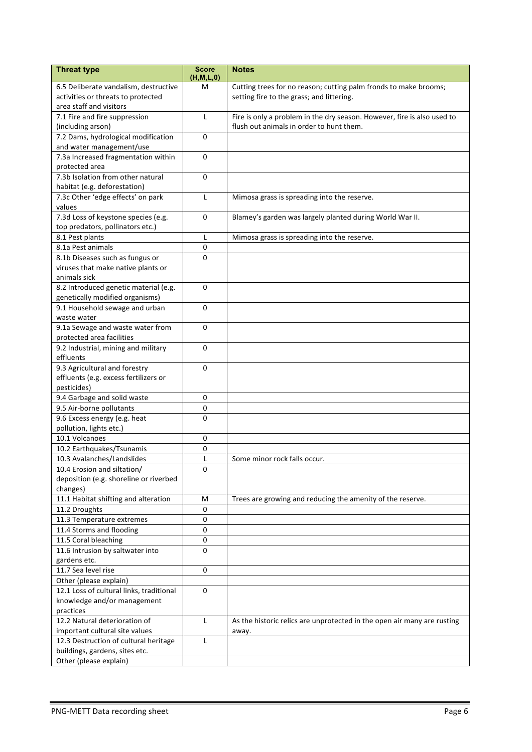| <b>Threat type</b>                       | <b>Score</b><br>(H,M,L,0) | <b>Notes</b>                                                            |
|------------------------------------------|---------------------------|-------------------------------------------------------------------------|
| 6.5 Deliberate vandalism, destructive    | M                         | Cutting trees for no reason; cutting palm fronds to make brooms;        |
| activities or threats to protected       |                           | setting fire to the grass; and littering.                               |
| area staff and visitors                  |                           |                                                                         |
| 7.1 Fire and fire suppression            | L                         | Fire is only a problem in the dry season. However, fire is also used to |
| (including arson)                        |                           | flush out animals in order to hunt them.                                |
| 7.2 Dams, hydrological modification      | 0                         |                                                                         |
| and water management/use                 |                           |                                                                         |
| 7.3a Increased fragmentation within      | 0                         |                                                                         |
| protected area                           |                           |                                                                         |
| 7.3b Isolation from other natural        | 0                         |                                                                         |
| habitat (e.g. deforestation)             |                           |                                                                         |
| 7.3c Other 'edge effects' on park        | L                         | Mimosa grass is spreading into the reserve.                             |
| values                                   |                           |                                                                         |
| 7.3d Loss of keystone species (e.g.      | $\Omega$                  | Blamey's garden was largely planted during World War II.                |
| top predators, pollinators etc.)         |                           |                                                                         |
| 8.1 Pest plants                          | L                         | Mimosa grass is spreading into the reserve.                             |
| 8.1a Pest animals                        | 0                         |                                                                         |
| 8.1b Diseases such as fungus or          | 0                         |                                                                         |
| viruses that make native plants or       |                           |                                                                         |
| animals sick                             |                           |                                                                         |
| 8.2 Introduced genetic material (e.g.    | 0                         |                                                                         |
| genetically modified organisms)          |                           |                                                                         |
| 9.1 Household sewage and urban           | $\mathbf 0$               |                                                                         |
| waste water                              |                           |                                                                         |
| 9.1a Sewage and waste water from         | $\mathbf 0$               |                                                                         |
| protected area facilities                |                           |                                                                         |
| 9.2 Industrial, mining and military      | 0                         |                                                                         |
| effluents                                |                           |                                                                         |
| 9.3 Agricultural and forestry            | 0                         |                                                                         |
| effluents (e.g. excess fertilizers or    |                           |                                                                         |
| pesticides)                              |                           |                                                                         |
| 9.4 Garbage and solid waste              | 0                         |                                                                         |
| 9.5 Air-borne pollutants                 | 0                         |                                                                         |
| 9.6 Excess energy (e.g. heat             | 0                         |                                                                         |
| pollution, lights etc.)                  |                           |                                                                         |
| 10.1 Volcanoes                           | 0                         |                                                                         |
| 10.2 Earthquakes/Tsunamis                | 0                         |                                                                         |
| 10.3 Avalanches/Landslides               | L                         | Some minor rock falls occur.                                            |
| 10.4 Erosion and siltation/              | 0                         |                                                                         |
| deposition (e.g. shoreline or riverbed   |                           |                                                                         |
| changes)                                 |                           |                                                                         |
| 11.1 Habitat shifting and alteration     | M                         | Trees are growing and reducing the amenity of the reserve.              |
| 11.2 Droughts                            | 0                         |                                                                         |
| 11.3 Temperature extremes                | 0                         |                                                                         |
| 11.4 Storms and flooding                 | 0                         |                                                                         |
| 11.5 Coral bleaching                     | 0                         |                                                                         |
| 11.6 Intrusion by saltwater into         | 0                         |                                                                         |
| gardens etc.                             |                           |                                                                         |
| 11.7 Sea level rise                      | 0                         |                                                                         |
| Other (please explain)                   |                           |                                                                         |
| 12.1 Loss of cultural links, traditional | 0                         |                                                                         |
| knowledge and/or management              |                           |                                                                         |
| practices                                |                           |                                                                         |
| 12.2 Natural deterioration of            | L                         | As the historic relics are unprotected in the open air many are rusting |
| important cultural site values           |                           | away.                                                                   |
| 12.3 Destruction of cultural heritage    | L                         |                                                                         |
| buildings, gardens, sites etc.           |                           |                                                                         |
| Other (please explain)                   |                           |                                                                         |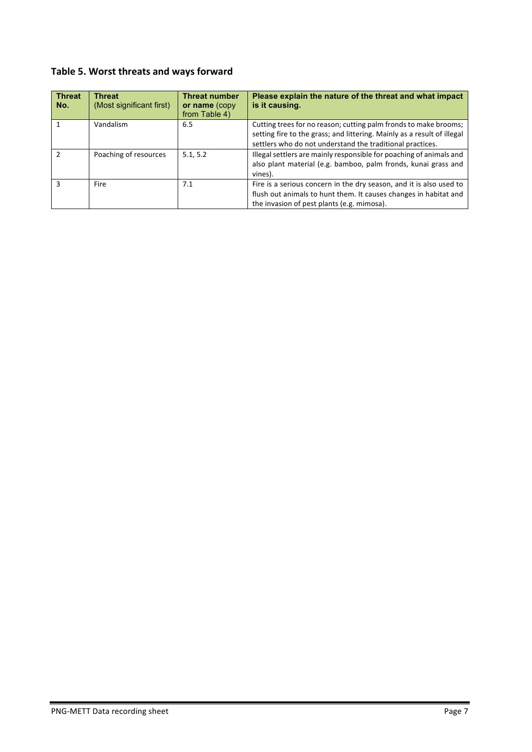#### Table 5. Worst threats and ways forward

| <b>Threat</b><br>No. | <b>Threat</b><br>(Most significant first) | <b>Threat number</b><br>or name (copy)<br>from Table 4) | Please explain the nature of the threat and what impact<br>is it causing.                                                                                                                                |
|----------------------|-------------------------------------------|---------------------------------------------------------|----------------------------------------------------------------------------------------------------------------------------------------------------------------------------------------------------------|
|                      | Vandalism                                 | 6.5                                                     | Cutting trees for no reason; cutting palm fronds to make brooms;<br>setting fire to the grass; and littering. Mainly as a result of illegal<br>settlers who do not understand the traditional practices. |
|                      | Poaching of resources                     | 5.1, 5.2                                                | Illegal settlers are mainly responsible for poaching of animals and<br>also plant material (e.g. bamboo, palm fronds, kunai grass and<br>vines).                                                         |
|                      | Fire                                      | 7.1                                                     | Fire is a serious concern in the dry season, and it is also used to<br>flush out animals to hunt them. It causes changes in habitat and<br>the invasion of pest plants (e.g. mimosa).                    |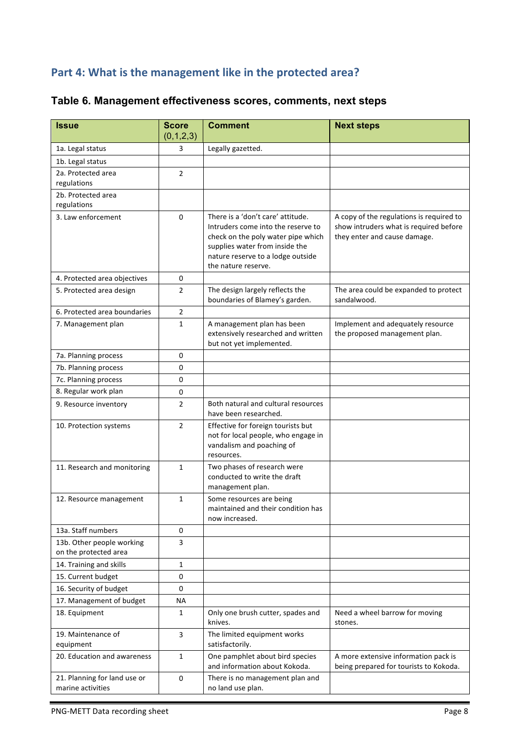# Part 4: What is the management like in the protected area?

| <b>Issue</b>                                      | <b>Score</b><br>(0,1,2,3) | <b>Comment</b>                                                                                                                                                                                              | <b>Next steps</b>                                                                                                  |
|---------------------------------------------------|---------------------------|-------------------------------------------------------------------------------------------------------------------------------------------------------------------------------------------------------------|--------------------------------------------------------------------------------------------------------------------|
| 1a. Legal status                                  | 3                         | Legally gazetted.                                                                                                                                                                                           |                                                                                                                    |
| 1b. Legal status                                  |                           |                                                                                                                                                                                                             |                                                                                                                    |
| 2a. Protected area                                | 2                         |                                                                                                                                                                                                             |                                                                                                                    |
| regulations                                       |                           |                                                                                                                                                                                                             |                                                                                                                    |
| 2b. Protected area                                |                           |                                                                                                                                                                                                             |                                                                                                                    |
| regulations                                       |                           |                                                                                                                                                                                                             |                                                                                                                    |
| 3. Law enforcement                                | $\Omega$                  | There is a 'don't care' attitude.<br>Intruders come into the reserve to<br>check on the poly water pipe which<br>supplies water from inside the<br>nature reserve to a lodge outside<br>the nature reserve. | A copy of the regulations is required to<br>show intruders what is required before<br>they enter and cause damage. |
| 4. Protected area objectives                      | 0                         |                                                                                                                                                                                                             |                                                                                                                    |
| 5. Protected area design                          | $\overline{2}$            | The design largely reflects the<br>boundaries of Blamey's garden.                                                                                                                                           | The area could be expanded to protect<br>sandalwood.                                                               |
| 6. Protected area boundaries                      | $\overline{2}$            |                                                                                                                                                                                                             |                                                                                                                    |
| 7. Management plan                                | 1                         | A management plan has been<br>extensively researched and written<br>but not yet implemented.                                                                                                                | Implement and adequately resource<br>the proposed management plan.                                                 |
| 7a. Planning process                              | 0                         |                                                                                                                                                                                                             |                                                                                                                    |
| 7b. Planning process                              | 0                         |                                                                                                                                                                                                             |                                                                                                                    |
| 7c. Planning process                              | 0                         |                                                                                                                                                                                                             |                                                                                                                    |
| 8. Regular work plan                              | 0                         |                                                                                                                                                                                                             |                                                                                                                    |
| 9. Resource inventory                             | $\overline{2}$            | Both natural and cultural resources<br>have been researched.                                                                                                                                                |                                                                                                                    |
| 10. Protection systems                            | $\overline{2}$            | Effective for foreign tourists but<br>not for local people, who engage in<br>vandalism and poaching of<br>resources.                                                                                        |                                                                                                                    |
| 11. Research and monitoring                       | $\mathbf{1}$              | Two phases of research were<br>conducted to write the draft<br>management plan.                                                                                                                             |                                                                                                                    |
| 12. Resource management                           | $\mathbf{1}$              | Some resources are being<br>maintained and their condition has<br>now increased.                                                                                                                            |                                                                                                                    |
| 13a. Staff numbers                                | 0                         |                                                                                                                                                                                                             |                                                                                                                    |
| 13b. Other people working                         | 3                         |                                                                                                                                                                                                             |                                                                                                                    |
| on the protected area                             |                           |                                                                                                                                                                                                             |                                                                                                                    |
| 14. Training and skills                           | $\mathbf{1}$              |                                                                                                                                                                                                             |                                                                                                                    |
| 15. Current budget                                | 0                         |                                                                                                                                                                                                             |                                                                                                                    |
| 16. Security of budget                            | 0                         |                                                                                                                                                                                                             |                                                                                                                    |
| 17. Management of budget                          | ΝA                        |                                                                                                                                                                                                             |                                                                                                                    |
| 18. Equipment                                     | $\mathbf{1}$              | Only one brush cutter, spades and<br>knives.                                                                                                                                                                | Need a wheel barrow for moving<br>stones.                                                                          |
| 19. Maintenance of<br>equipment                   | 3                         | The limited equipment works<br>satisfactorily.                                                                                                                                                              |                                                                                                                    |
| 20. Education and awareness                       | $\mathbf{1}$              | One pamphlet about bird species<br>and information about Kokoda.                                                                                                                                            | A more extensive information pack is<br>being prepared for tourists to Kokoda.                                     |
| 21. Planning for land use or<br>marine activities | 0                         | There is no management plan and<br>no land use plan.                                                                                                                                                        |                                                                                                                    |

# **Table 6. Management effectiveness scores, comments, next steps**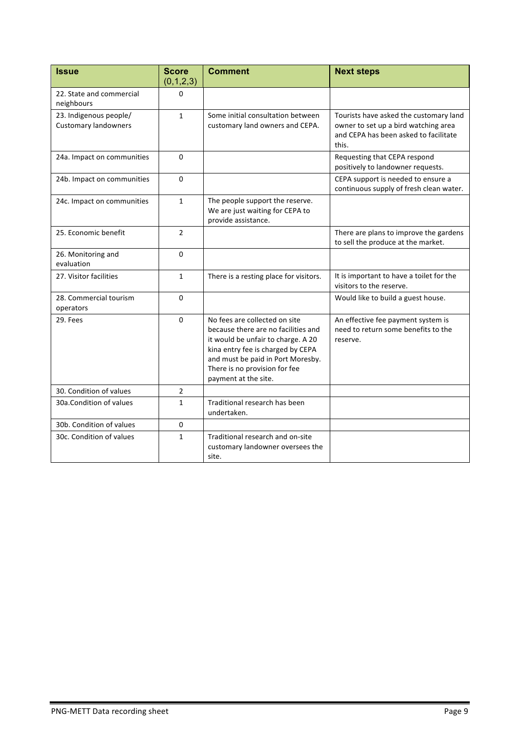| <b>Issue</b>                                          | <b>Score</b><br>(0,1,2,3) | <b>Comment</b>                                                                                                                                                                                                                                | <b>Next steps</b>                                                                                                                |
|-------------------------------------------------------|---------------------------|-----------------------------------------------------------------------------------------------------------------------------------------------------------------------------------------------------------------------------------------------|----------------------------------------------------------------------------------------------------------------------------------|
| 22. State and commercial<br>neighbours                | $\Omega$                  |                                                                                                                                                                                                                                               |                                                                                                                                  |
| 23. Indigenous people/<br><b>Customary landowners</b> | $\mathbf{1}$              | Some initial consultation between<br>customary land owners and CEPA.                                                                                                                                                                          | Tourists have asked the customary land<br>owner to set up a bird watching area<br>and CEPA has been asked to facilitate<br>this. |
| 24a. Impact on communities                            | $\Omega$                  |                                                                                                                                                                                                                                               | Requesting that CEPA respond<br>positively to landowner requests.                                                                |
| 24b. Impact on communities                            | $\Omega$                  |                                                                                                                                                                                                                                               | CEPA support is needed to ensure a<br>continuous supply of fresh clean water.                                                    |
| 24c. Impact on communities                            | $\mathbf{1}$              | The people support the reserve.<br>We are just waiting for CEPA to<br>provide assistance.                                                                                                                                                     |                                                                                                                                  |
| 25. Economic benefit                                  | $\overline{2}$            |                                                                                                                                                                                                                                               | There are plans to improve the gardens<br>to sell the produce at the market.                                                     |
| 26. Monitoring and<br>evaluation                      | $\Omega$                  |                                                                                                                                                                                                                                               |                                                                                                                                  |
| 27. Visitor facilities                                | $\mathbf{1}$              | There is a resting place for visitors.                                                                                                                                                                                                        | It is important to have a toilet for the<br>visitors to the reserve.                                                             |
| 28. Commercial tourism<br>operators                   | $\Omega$                  |                                                                                                                                                                                                                                               | Would like to build a guest house.                                                                                               |
| 29. Fees                                              | $\Omega$                  | No fees are collected on site<br>because there are no facilities and<br>it would be unfair to charge. A 20<br>kina entry fee is charged by CEPA<br>and must be paid in Port Moresby.<br>There is no provision for fee<br>payment at the site. | An effective fee payment system is<br>need to return some benefits to the<br>reserve.                                            |
| 30. Condition of values                               | 2                         |                                                                                                                                                                                                                                               |                                                                                                                                  |
| 30a. Condition of values                              | 1                         | Traditional research has been<br>undertaken.                                                                                                                                                                                                  |                                                                                                                                  |
| 30b. Condition of values                              | $\Omega$                  |                                                                                                                                                                                                                                               |                                                                                                                                  |
| 30c. Condition of values                              | $\mathbf{1}$              | Traditional research and on-site<br>customary landowner oversees the<br>site.                                                                                                                                                                 |                                                                                                                                  |